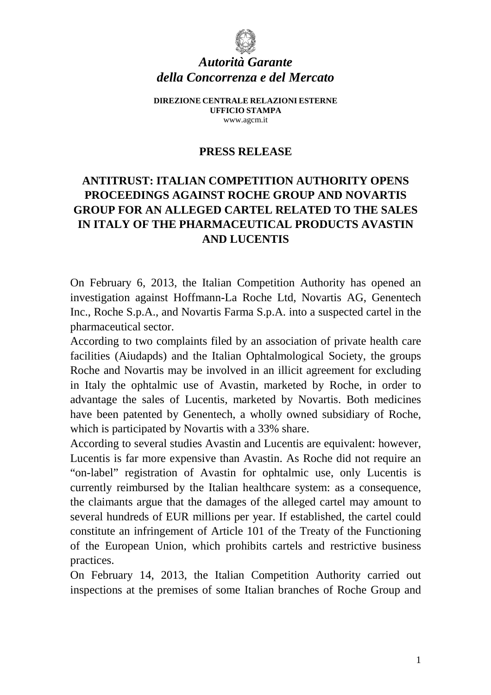

## *Autorità Garante della Concorrenza e del Mercato*

**DIREZIONE CENTRALE RELAZIONI ESTERNE UFFICIO STAMPA**  www.agcm.it

## **PRESS RELEASE**

## **ANTITRUST: ITALIAN COMPETITION AUTHORITY OPENS PROCEEDINGS AGAINST ROCHE GROUP AND NOVARTIS GROUP FOR AN ALLEGED CARTEL RELATED TO THE SALES IN ITALY OF THE PHARMACEUTICAL PRODUCTS AVASTIN AND LUCENTIS**

On February 6, 2013, the Italian Competition Authority has opened an investigation against Hoffmann-La Roche Ltd, Novartis AG, Genentech Inc., Roche S.p.A., and Novartis Farma S.p.A. into a suspected cartel in the pharmaceutical sector.

According to two complaints filed by an association of private health care facilities (Aiudapds) and the Italian Ophtalmological Society, the groups Roche and Novartis may be involved in an illicit agreement for excluding in Italy the ophtalmic use of Avastin, marketed by Roche, in order to advantage the sales of Lucentis, marketed by Novartis. Both medicines have been patented by Genentech, a wholly owned subsidiary of Roche, which is participated by Novartis with a 33% share.

According to several studies Avastin and Lucentis are equivalent: however, Lucentis is far more expensive than Avastin. As Roche did not require an "on-label" registration of Avastin for ophtalmic use, only Lucentis is currently reimbursed by the Italian healthcare system: as a consequence, the claimants argue that the damages of the alleged cartel may amount to several hundreds of EUR millions per year. If established, the cartel could constitute an infringement of Article 101 of the Treaty of the Functioning of the European Union, which prohibits cartels and restrictive business practices.

On February 14, 2013, the Italian Competition Authority carried out inspections at the premises of some Italian branches of Roche Group and